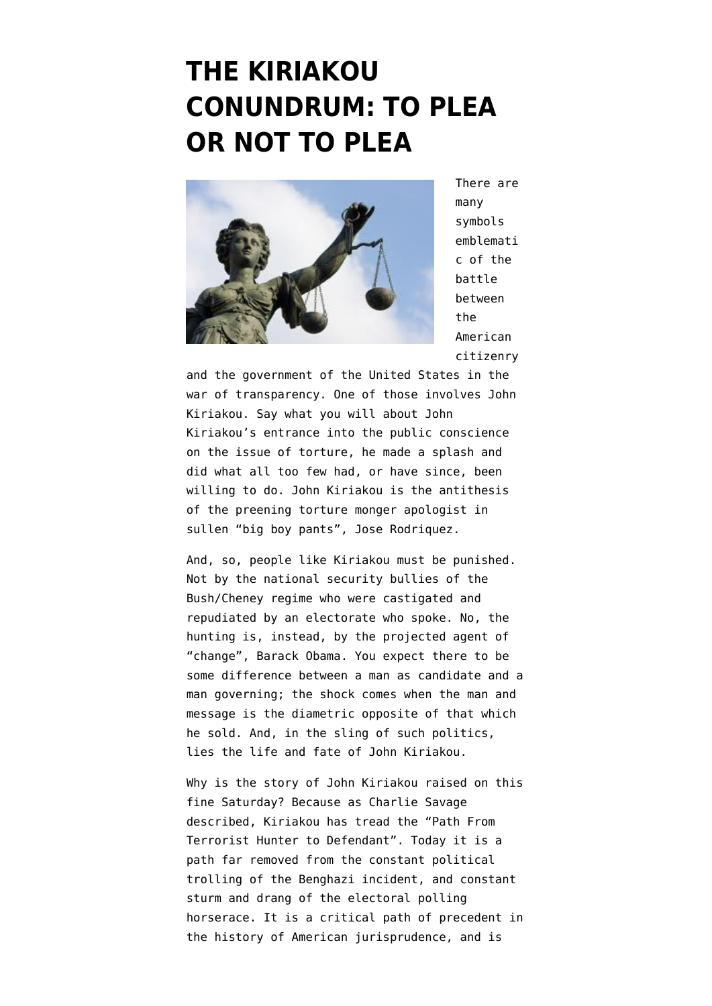## **[THE KIRIAKOU](https://www.emptywheel.net/2012/10/20/the-kiriakou-conundrum-to-plea-or-not-to-plea/) [CONUNDRUM: TO PLEA](https://www.emptywheel.net/2012/10/20/the-kiriakou-conundrum-to-plea-or-not-to-plea/) [OR NOT TO PLEA](https://www.emptywheel.net/2012/10/20/the-kiriakou-conundrum-to-plea-or-not-to-plea/)**



There are many symbols emblemati c of the battle between the American citizenry

and the government of the United States in the war of transparency. One of those involves [John](http://www.emptywheel.net/tag/john-kiriakou/) [Kiriakou.](http://www.emptywheel.net/tag/john-kiriakou/) Say what you will about John Kiriakou's entrance into the [public conscience](http://www.nytimes.com/2009/04/28/business/media/28abc.html?pagewanted=all) [on the issue of torture,](http://www.nytimes.com/2009/04/28/business/media/28abc.html?pagewanted=all) he [made a splash](http://www.motherjones.com/politics/2012/01/john-kiriakou-cia-leak-investigation) and did what all too few had, or have since, been willing to do. John Kiriakou is the antithesis of the preening torture monger apologist in sullen ["big boy pants"](http://www.emptywheel.net/2012/04/30/big-boy-pants-and-the-presidency/), Jose Rodriquez.

And, so, people like Kiriakou must be punished. Not by the national security bullies of the Bush/Cheney regime who were castigated and repudiated by an electorate who spoke. No, the hunting is, instead, by the projected agent of "change", Barack Obama. You expect there to be some difference between a man as candidate and a man governing; the shock comes when the man and message is the diametric opposite of that which he sold. And, in the sling of such politics, lies the life and fate of John Kiriakou.

Why is the story of John Kiriakou raised on this fine Saturday? Because as Charlie Savage described, Kiriakou has tread the ["Path From](http://www.nytimes.com/2012/01/25/us/john-kiriakous-path-from-ambitious-spy-to-federal-defendant.html?pagewanted=all&_r=0) [Terrorist Hunter to Defendant".](http://www.nytimes.com/2012/01/25/us/john-kiriakous-path-from-ambitious-spy-to-federal-defendant.html?pagewanted=all&_r=0) Today it is a path far removed from the constant political trolling of the Benghazi incident, and constant sturm and drang of the electoral polling horserace. It is a critical path of precedent in the history of American jurisprudence, and is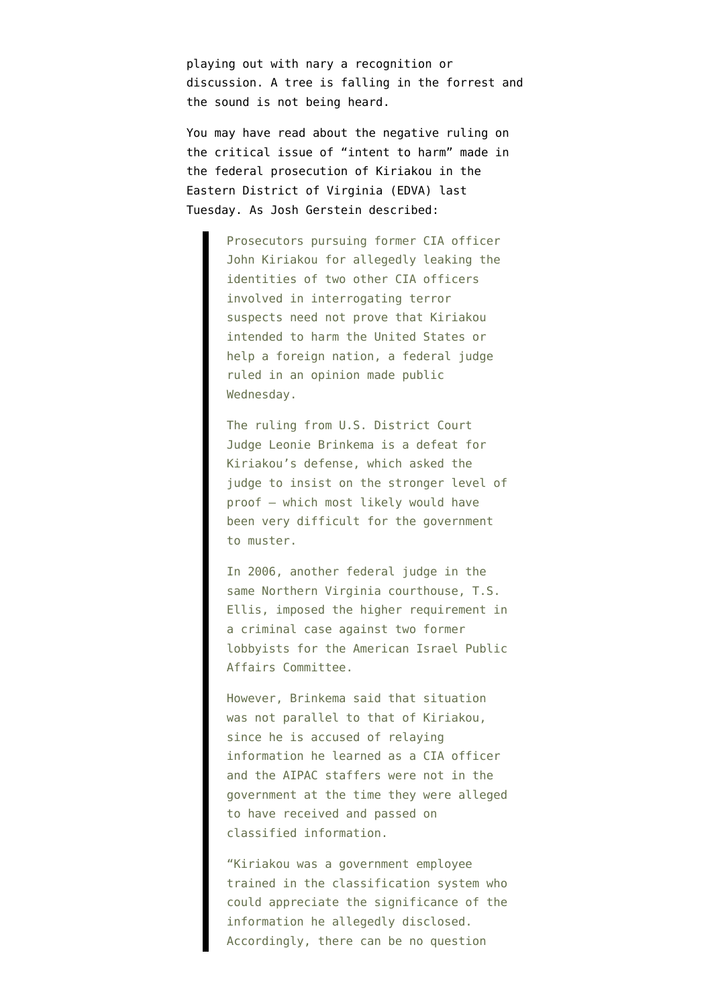playing out with nary a recognition or discussion. A tree is falling in the forrest and the sound is not being heard.

You may have read about the negative [ruling on](http://www.emptywheel.net/wp-content/uploads/2012/10/KiriakouIntentOpinion10-16-2012.pdf) [the critical issue of "intent to harm"](http://www.emptywheel.net/wp-content/uploads/2012/10/KiriakouIntentOpinion10-16-2012.pdf) made in the federal prosecution of Kiriakou in the Eastern District of Virginia (EDVA) last Tuesday. As [Josh Gerstein described](http://www.politico.com/blogs/under-the-radar/2012/10/feds-win-round-in-cia-leak-case-138817.html?hp=l9):

> Prosecutors pursuing former CIA officer John Kiriakou for allegedly leaking the identities of two other CIA officers involved in interrogating terror suspects need not prove that Kiriakou intended to harm the United States or help a foreign nation, a federal judge ruled in an opinion made public Wednesday.

The ruling from U.S. District Court Judge Leonie Brinkema is a defeat for Kiriakou's defense, which asked the judge to insist on the stronger level of proof — which most likely would have been very difficult for the government to muster.

In 2006, another federal judge in the same Northern Virginia courthouse, T.S. Ellis, imposed the higher requirement in a criminal case against two former lobbyists for the American Israel Public Affairs Committee.

However, Brinkema said that situation was not parallel to that of Kiriakou, since he is accused of relaying information he learned as a CIA officer and the AIPAC staffers were not in the government at the time they were alleged to have received and passed on classified information.

"Kiriakou was a government employee trained in the classification system who could appreciate the significance of the information he allegedly disclosed. Accordingly, there can be no question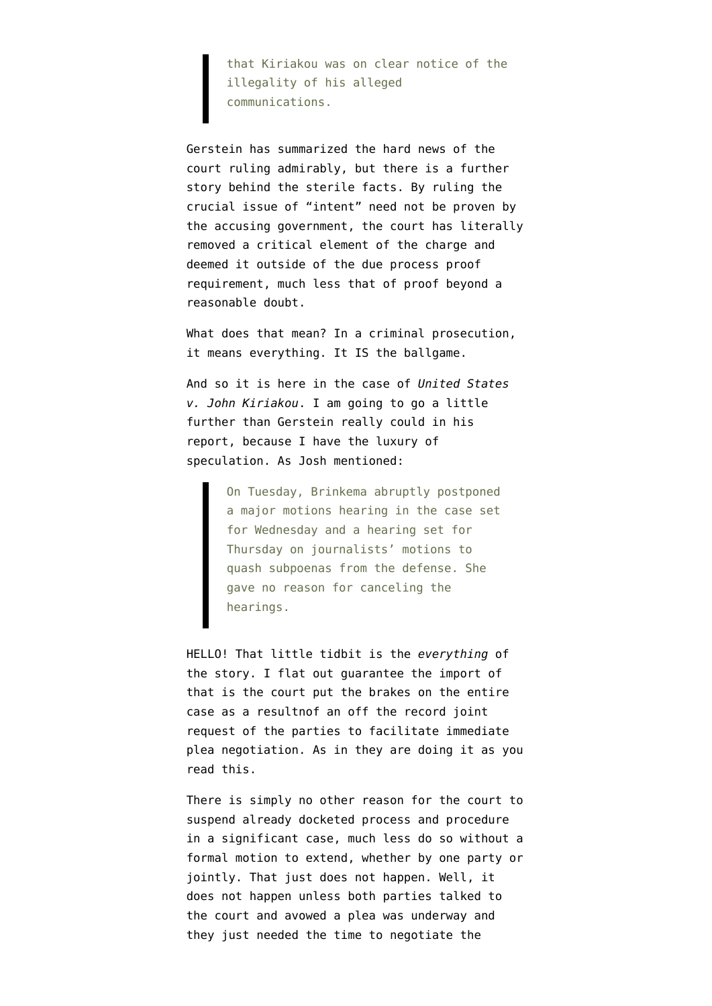that Kiriakou was on clear notice of the illegality of his alleged communications.

Gerstein has summarized the hard news of the court ruling admirably, but there is a further story behind the sterile facts. By ruling the crucial issue of "intent" need not be proven by the accusing government, the court has literally removed a critical element of the charge and deemed it outside of the due process proof requirement, much less that of proof beyond a reasonable doubt.

What does that mean? In a criminal prosecution, it means everything. It IS the ballgame.

And so it is here in the case of *United States v. John Kiriakou*. I am going to go a little further than Gerstein really could in his report, because I have the luxury of speculation. As Josh mentioned:

> On Tuesday, Brinkema abruptly postponed a major motions hearing in the case set for Wednesday and a hearing set for Thursday on journalists' motions to quash subpoenas from the defense. She gave no reason for canceling the hearings.

HELLO! That little tidbit is the *everything* of the story. I flat out guarantee the import of that is the court put the brakes on the entire case as a resultnof an off the record joint request of the parties to facilitate immediate plea negotiation. As in they are doing it as you read this.

There is simply no other reason for the court to suspend already docketed process and procedure in a significant case, much less do so without a formal motion to extend, whether by one party or jointly. That just does not happen. Well, it does not happen unless both parties talked to the court and avowed a plea was underway and they just needed the time to negotiate the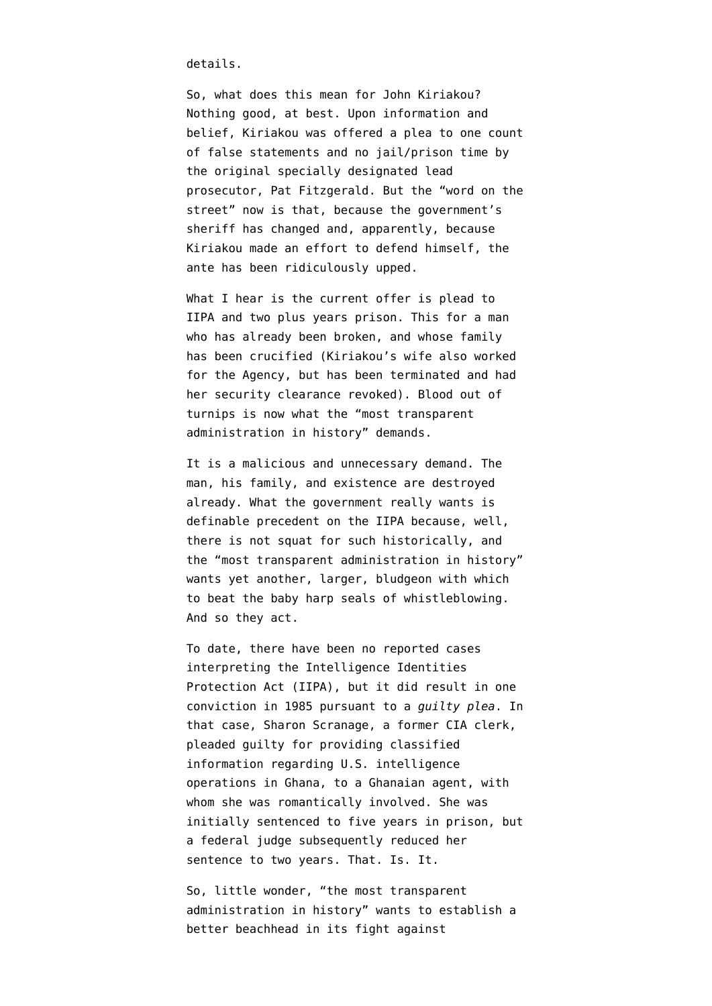details.

So, what does this mean for John Kiriakou? Nothing good, at best. Upon information and belief, Kiriakou was offered a plea to one count of false statements and no jail/prison time by the original specially designated lead prosecutor, Pat Fitzgerald. But the "word on the street" now is that, because the government's [sheriff has changed](http://www.emptywheel.net/2012/05/23/patrick-fitzgerald-resigns/) and, apparently, because Kiriakou made an effort to defend himself, the ante has been ridiculously upped.

What I hear is the current offer is plead to IIPA and two plus years prison. This for a man who has already been broken, and whose family has been crucified (Kiriakou's wife also worked for the Agency, but has been terminated and had her security clearance revoked). Blood out of turnips is now what the "most transparent administration in history" demands.

It is a malicious and unnecessary demand. The man, his family, and existence are destroyed already. What the government really wants is definable precedent on the IIPA because, well, there is not squat for such historically, and the "most transparent administration in history" wants yet another, larger, bludgeon with which to beat the baby harp seals of whistleblowing. And so they act.

To date, there have been no reported cases interpreting the [Intelligence Identities](http://www.emptywheel.net/wp-content/uploads/2012/10/IIPA.pdf) [Protection Act \(IIPA\)](http://www.emptywheel.net/wp-content/uploads/2012/10/IIPA.pdf), but it did result in one conviction in 1985 pursuant to a *guilty plea*. In that case, Sharon Scranage, a former CIA clerk, pleaded guilty for providing classified information regarding U.S. intelligence operations in Ghana, to a Ghanaian agent, with whom she was romantically involved. She was initially sentenced to five years in prison, but a federal judge subsequently reduced her sentence to two years. That. Is. It.

So, little wonder, "the most transparent administration in history" wants to establish a better beachhead in its fight against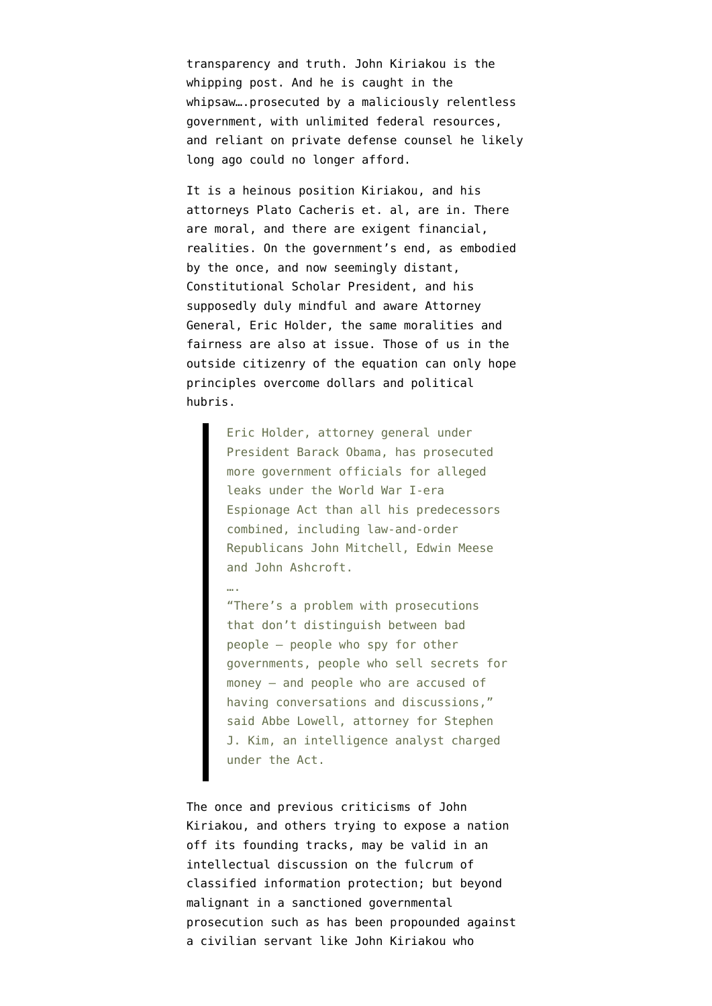transparency and truth. John Kiriakou is the whipping post. And he is caught in the whipsaw….prosecuted by a maliciously relentless government, with unlimited federal resources, and reliant on private defense counsel he likely long ago could no longer afford.

It is a heinous position Kiriakou, and his attorneys Plato Cacheris et. al, are in. There are moral, and there are exigent financial, realities. On the government's end, as embodied by the once, and now seemingly distant, Constitutional Scholar President, and his supposedly [duly mindful and aware Attorney](http://www.gq.com/news-politics/politics/201012/eric-holder-attorney-general-rahm-emanuel-white-house-elections) [General, Eric Holder](http://www.gq.com/news-politics/politics/201012/eric-holder-attorney-general-rahm-emanuel-white-house-elections), the same moralities and fairness are also at issue. Those of us in the outside citizenry of the equation can only hope principles overcome [dollars and political](http://www.rep-am.com/news/national/677727.txt) [hubris](http://www.rep-am.com/news/national/677727.txt).

> Eric Holder, attorney general under President Barack Obama, has prosecuted more government officials for alleged leaks under the World War I-era Espionage Act than all his predecessors combined, including law-and-order Republicans John Mitchell, Edwin Meese and John Ashcroft.

….

"There's a problem with prosecutions that don't distinguish between bad people — people who spy for other governments, people who sell secrets for money — and people who are accused of having conversations and discussions," said Abbe Lowell, attorney for Stephen J. Kim, an intelligence analyst charged under the Act.

The once and previous criticisms of John Kiriakou, and others trying to expose a nation off its founding tracks, may be valid in an intellectual discussion on the fulcrum of classified information protection; but beyond malignant in a sanctioned governmental prosecution such as has been propounded against a civilian servant like John Kiriakou who